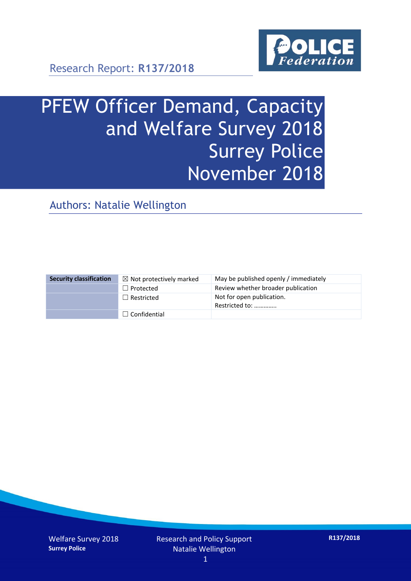

Research Report: **R137/2018**

# PFEW Officer Demand, Capacity and Welfare Survey 2018 Surrey Police November 2018

Authors: Natalie Wellington

| <b>Security classification</b> | $\boxtimes$ Not protectively marked | May be published openly / immediately       |
|--------------------------------|-------------------------------------|---------------------------------------------|
|                                | $\Box$ Protected                    | Review whether broader publication          |
|                                | $\Box$ Restricted                   | Not for open publication.<br>Restricted to: |
|                                | $\Box$ Confidential                 |                                             |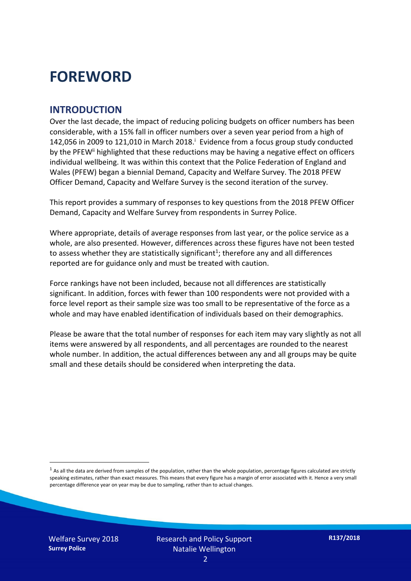### **FOREWORD**

#### **INTRODUCTION**

Over the last decade, the impact of reducing policing budgets on officer numbers has been considerable, with a 15% fall in officer numbers over a seven year period from a high of 142,056 in 2009 to 121,010 in March 2018. $^{\mathrm{i}}$  Evidence from a focus group study conducted by the PFEW<sup>ii</sup> highlighted that these reductions may be having a negative effect on officers individual wellbeing. It was within this context that the Police Federation of England and Wales (PFEW) began a biennial Demand, Capacity and Welfare Survey. The 2018 PFEW Officer Demand, Capacity and Welfare Survey is the second iteration of the survey.

This report provides a summary of responses to key questions from the 2018 PFEW Officer Demand, Capacity and Welfare Survey from respondents in Surrey Police.

Where appropriate, details of average responses from last year, or the police service as a whole, are also presented. However, differences across these figures have not been tested to assess whether they are statistically significant<sup>1</sup>; therefore any and all differences reported are for guidance only and must be treated with caution.

Force rankings have not been included, because not all differences are statistically significant. In addition, forces with fewer than 100 respondents were not provided with a force level report as their sample size was too small to be representative of the force as a whole and may have enabled identification of individuals based on their demographics.

Please be aware that the total number of responses for each item may vary slightly as not all items were answered by all respondents, and all percentages are rounded to the nearest whole number. In addition, the actual differences between any and all groups may be quite small and these details should be considered when interpreting the data.

-

 $1$  As all the data are derived from samples of the population, rather than the whole population, percentage figures calculated are strictly speaking estimates, rather than exact measures. This means that every figure has a margin of error associated with it. Hence a very small percentage difference year on year may be due to sampling, rather than to actual changes.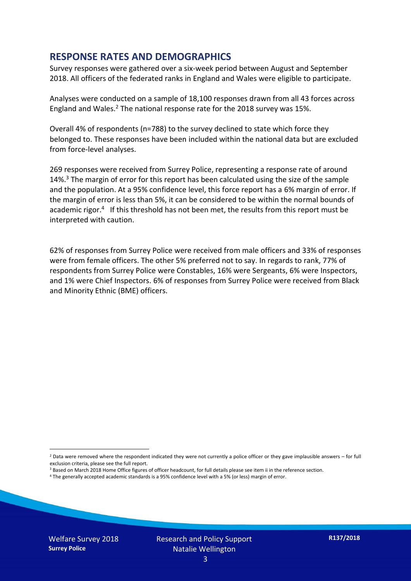#### **RESPONSE RATES AND DEMOGRAPHICS**

Survey responses were gathered over a six-week period between August and September 2018. All officers of the federated ranks in England and Wales were eligible to participate.

Analyses were conducted on a sample of 18,100 responses drawn from all 43 forces across England and Wales.<sup>2</sup> The national response rate for the 2018 survey was 15%.

Overall 4% of respondents (n=788) to the survey declined to state which force they belonged to. These responses have been included within the national data but are excluded from force-level analyses.

269 responses were received from Surrey Police, representing a response rate of around 14%.<sup>3</sup> The margin of error for this report has been calculated using the size of the sample and the population. At a 95% confidence level, this force report has a 6% margin of error. If the margin of error is less than 5%, it can be considered to be within the normal bounds of academic rigor.<sup>4</sup> If this threshold has not been met, the results from this report must be interpreted with caution.

62% of responses from Surrey Police were received from male officers and 33% of responses were from female officers. The other 5% preferred not to say. In regards to rank, 77% of respondents from Surrey Police were Constables, 16% were Sergeants, 6% were Inspectors, and 1% were Chief Inspectors. 6% of responses from Surrey Police were received from Black and Minority Ethnic (BME) officers.

- <sup>3</sup> Based on March 2018 Home Office figures of officer headcount, for full details please see item ii in the reference section.
- <sup>4</sup> The generally accepted academic standards is a 95% confidence level with a 5% (or less) margin of error.

-

 $2$  Data were removed where the respondent indicated they were not currently a police officer or they gave implausible answers – for full exclusion criteria, please see the full report.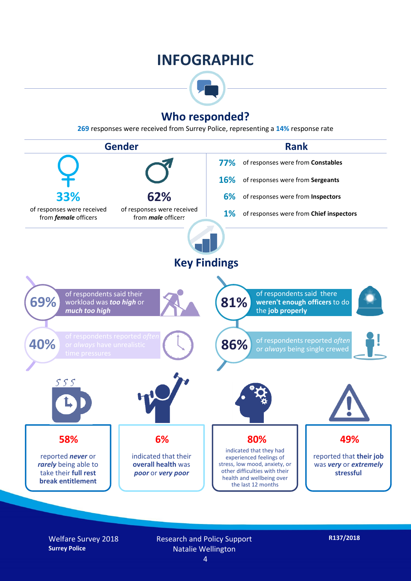### **INFOGRAPHIC**



#### **Who responded?**

**269** responses were received from Surrey Police, representing a **14%** response rate



Welfare Survey 2018 **Surrey Police**

Research and Policy Support Natalie Wellington

**R137/2018**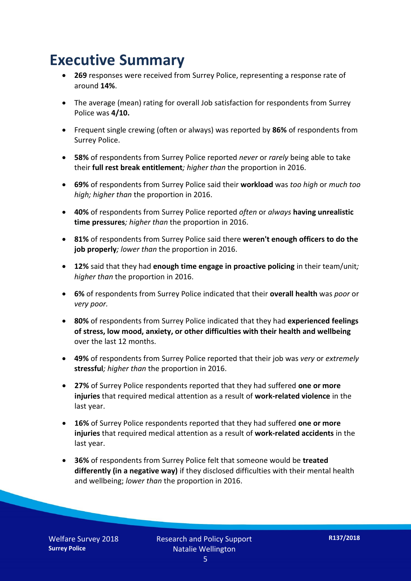### **Executive Summary**

- **269** responses were received from Surrey Police, representing a response rate of around **14%**.
- The average (mean) rating for overall Job satisfaction for respondents from Surrey Police was **4/10.**
- Frequent single crewing (often or always) was reported by **86%** of respondents from Surrey Police.
- **58%** of respondents from Surrey Police reported *never* or *rarely* being able to take their **full rest break entitlement***; higher than* the proportion in 2016.
- **69%** of respondents from Surrey Police said their **workload** was *too high* or *much too high; higher than* the proportion in 2016.
- **40%** of respondents from Surrey Police reported *often* or *always* **having unrealistic time pressures***; higher than* the proportion in 2016.
- **81%** of respondents from Surrey Police said there **weren't enough officers to do the job properly***; lower than* the proportion in 2016.
- **12%** said that they had **enough time engage in proactive policing** in their team/unit*; higher than* the proportion in 2016.
- **6%** of respondents from Surrey Police indicated that their **overall health** was *poor* or *very poor.*
- **80%** of respondents from Surrey Police indicated that they had **experienced feelings of stress, low mood, anxiety, or other difficulties with their health and wellbeing** over the last 12 months.
- **49%** of respondents from Surrey Police reported that their job was *very* or *extremely*  **stressful***; higher than* the proportion in 2016.
- **27%** of Surrey Police respondents reported that they had suffered **one or more injuries** that required medical attention as a result of **work-related violence** in the last year.
- **16%** of Surrey Police respondents reported that they had suffered **one or more injuries** that required medical attention as a result of **work-related accidents** in the last year.
- **36%** of respondents from Surrey Police felt that someone would be **treated differently (in a negative way)** if they disclosed difficulties with their mental health and wellbeing; *lower than* the proportion in 2016.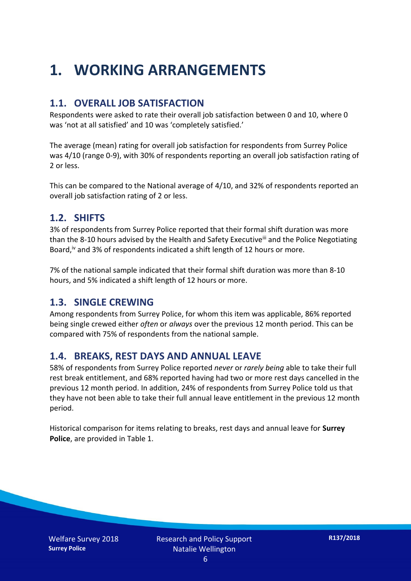## **1. WORKING ARRANGEMENTS**

#### **1.1. OVERALL JOB SATISFACTION**

Respondents were asked to rate their overall job satisfaction between 0 and 10, where 0 was 'not at all satisfied' and 10 was 'completely satisfied.'

The average (mean) rating for overall job satisfaction for respondents from Surrey Police was 4/10 (range 0-9), with 30% of respondents reporting an overall job satisfaction rating of 2 or less.

This can be compared to the National average of 4/10, and 32% of respondents reported an overall job satisfaction rating of 2 or less.

#### **1.2. SHIFTS**

3% of respondents from Surrey Police reported that their formal shift duration was more than the 8-10 hours advised by the Health and Safety Executive<sup>iii</sup> and the Police Negotiating Board,<sup>iv</sup> and 3% of respondents indicated a shift length of 12 hours or more.

7% of the national sample indicated that their formal shift duration was more than 8-10 hours, and 5% indicated a shift length of 12 hours or more.

#### **1.3. SINGLE CREWING**

Among respondents from Surrey Police, for whom this item was applicable, 86% reported being single crewed either *often* or *always* over the previous 12 month period. This can be compared with 75% of respondents from the national sample.

#### **1.4. BREAKS, REST DAYS AND ANNUAL LEAVE**

58% of respondents from Surrey Police reported *never* or *rarely being* able to take their full rest break entitlement, and 68% reported having had two or more rest days cancelled in the previous 12 month period. In addition, 24% of respondents from Surrey Police told us that they have not been able to take their full annual leave entitlement in the previous 12 month period.

Historical comparison for items relating to breaks, rest days and annual leave for **Surrey Police**, are provided in Table 1.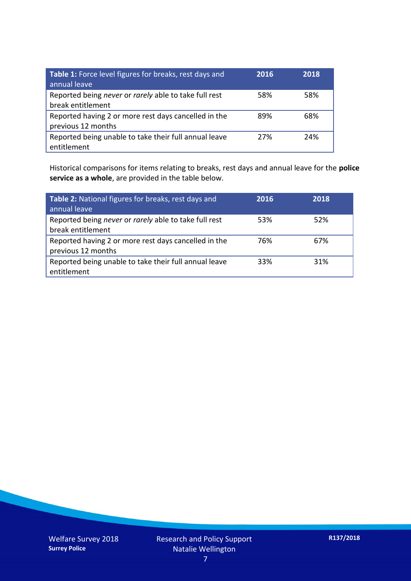| Table 1: Force level figures for breaks, rest days and<br>annual leave     | 2016 | 2018 |
|----------------------------------------------------------------------------|------|------|
| Reported being never or rarely able to take full rest<br>break entitlement | 58%  | 58%  |
| Reported having 2 or more rest days cancelled in the<br>previous 12 months | 89%  | 68%  |
| Reported being unable to take their full annual leave<br>entitlement       | 27%  | 24%  |

Historical comparisons for items relating to breaks, rest days and annual leave for the **police service as a whole**, are provided in the table below.

| Table 2: National figures for breaks, rest days and<br>annual leave        | 2016 | 2018 |
|----------------------------------------------------------------------------|------|------|
| Reported being never or rarely able to take full rest<br>break entitlement | 53%  | 52%  |
| Reported having 2 or more rest days cancelled in the<br>previous 12 months | 76%  | 67%  |
| Reported being unable to take their full annual leave<br>entitlement       | 33%  | 31%  |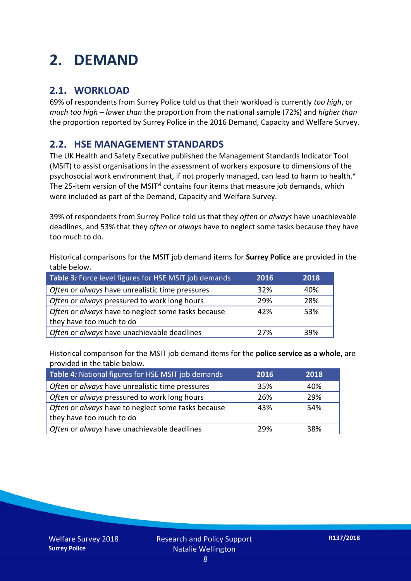## **2. DEMAND**

#### **2.1. WORKLOAD**

69% of respondents from Surrey Police told us that their workload is currently *too high*, or *much too high* – *lower than* the proportion from the national sample (72%) and *higher than* the proportion reported by Surrey Police in the 2016 Demand, Capacity and Welfare Survey.

#### **2.2. HSE MANAGEMENT STANDARDS**

The UK Health and Safety Executive published the Management Standards Indicator Tool (MSIT) to assist organisations in the assessment of workers exposure to dimensions of the psychosocial work environment that, if not properly managed, can lead to harm to health.<sup>v</sup> The 25-item version of the MSIT<sup>vi</sup> contains four items that measure job demands, which were included as part of the Demand, Capacity and Welfare Survey.

39% of respondents from Surrey Police told us that they *often* or *always* have unachievable deadlines, and 53% that they *often* or *always* have to neglect some tasks because they have too much to do.

Historical comparisons for the MSIT job demand items for **Surrey Police** are provided in the table below.

| Table 3: Force level figures for HSE MSIT job demands | 2016 | 2018 |
|-------------------------------------------------------|------|------|
| Often or always have unrealistic time pressures       | 32%  | 40%  |
| Often or always pressured to work long hours          | 29%  | 28%  |
| Often or always have to neglect some tasks because    | 42%  | 53%  |
| they have too much to do                              |      |      |
| Often or always have unachievable deadlines           | 27%  | 39%  |

Historical comparison for the MSIT job demand items for the **police service as a whole**, are provided in the table below.

| Table 4: National figures for HSE MSIT job demands | 2016 | 2018 |
|----------------------------------------------------|------|------|
| Often or always have unrealistic time pressures    | 35%  | 40%  |
| Often or always pressured to work long hours       | 26%  | 29%  |
| Often or always have to neglect some tasks because | 43%  | 54%  |
| they have too much to do                           |      |      |
| Often or always have unachievable deadlines        | 29%  | 38%  |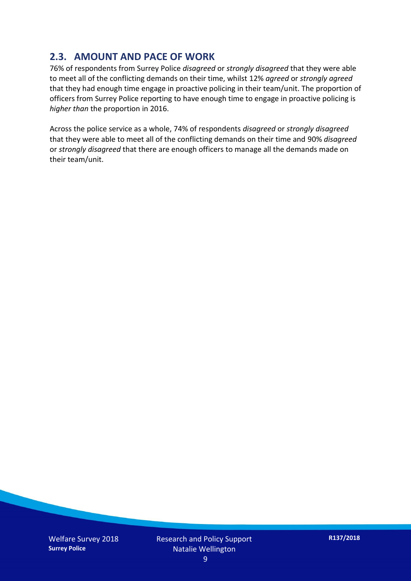#### **2.3. AMOUNT AND PACE OF WORK**

76% of respondents from Surrey Police *disagreed* or *strongly disagreed* that they were able to meet all of the conflicting demands on their time, whilst 12% *agreed* or *strongly agreed* that they had enough time engage in proactive policing in their team/unit. The proportion of officers from Surrey Police reporting to have enough time to engage in proactive policing is *higher than* the proportion in 2016.

Across the police service as a whole, 74% of respondents *disagreed* or *strongly disagreed* that they were able to meet all of the conflicting demands on their time and 90% *disagreed* or *strongly disagreed* that there are enough officers to manage all the demands made on their team/unit.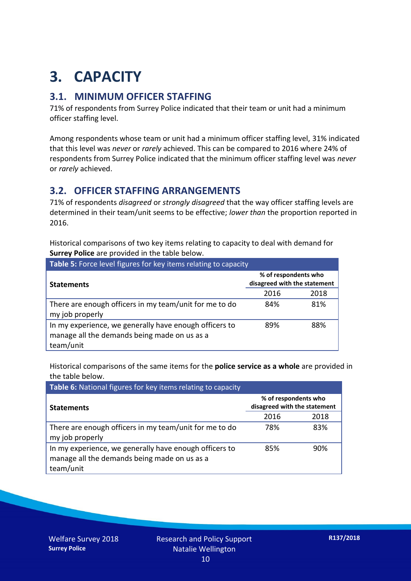## **3. CAPACITY**

#### **3.1. MINIMUM OFFICER STAFFING**

71% of respondents from Surrey Police indicated that their team or unit had a minimum officer staffing level.

Among respondents whose team or unit had a minimum officer staffing level, 31% indicated that this level was *never* or *rarely* achieved. This can be compared to 2016 where 24% of respondents from Surrey Police indicated that the minimum officer staffing level was *never* or *rarely* achieved.

#### **3.2. OFFICER STAFFING ARRANGEMENTS**

71% of respondents *disagreed* or *strongly disagreed* that the way officer staffing levels are determined in their team/unit seems to be effective; *lower than* the proportion reported in 2016.

Historical comparisons of two key items relating to capacity to deal with demand for **Surrey Police** are provided in the table below.

| <b>Table 5:</b> Force level figures for key items relating to capacity                                              |                                                      |      |  |
|---------------------------------------------------------------------------------------------------------------------|------------------------------------------------------|------|--|
| <b>Statements</b>                                                                                                   | % of respondents who<br>disagreed with the statement |      |  |
|                                                                                                                     | 2016                                                 | 2018 |  |
| There are enough officers in my team/unit for me to do<br>my job properly                                           | 84%                                                  | 81%  |  |
| In my experience, we generally have enough officers to<br>manage all the demands being made on us as a<br>team/unit | 89%                                                  | 88%  |  |

Historical comparisons of the same items for the **police service as a whole** are provided in the table below.

| Table 6: National figures for key items relating to capacity                                                        |                                                      |      |  |  |
|---------------------------------------------------------------------------------------------------------------------|------------------------------------------------------|------|--|--|
| <b>Statements</b>                                                                                                   | % of respondents who<br>disagreed with the statement |      |  |  |
|                                                                                                                     | 2016                                                 | 2018 |  |  |
| There are enough officers in my team/unit for me to do<br>my job properly                                           | 78%                                                  | 83%  |  |  |
| In my experience, we generally have enough officers to<br>manage all the demands being made on us as a<br>team/unit | 85%                                                  | 90%  |  |  |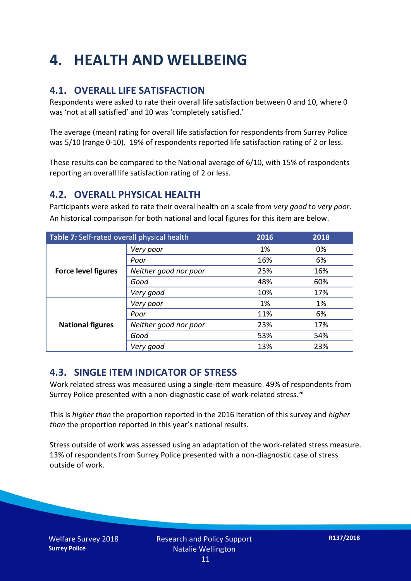## **4. HEALTH AND WELLBEING**

#### **4.1. OVERALL LIFE SATISFACTION**

Respondents were asked to rate their overall life satisfaction between 0 and 10, where 0 was 'not at all satisfied' and 10 was 'completely satisfied.'

The average (mean) rating for overall life satisfaction for respondents from Surrey Police was 5/10 (range 0-10). 19% of respondents reported life satisfaction rating of 2 or less.

These results can be compared to the National average of 6/10, with 15% of respondents reporting an overall life satisfaction rating of 2 or less.

#### **4.2. OVERALL PHYSICAL HEALTH**

Participants were asked to rate their overal health on a scale from *very good* to *very poor*. An historical comparison for both national and local figures for this item are below.

| Table 7: Self-rated overall physical health |                       | 2016 | 2018 |
|---------------------------------------------|-----------------------|------|------|
|                                             | Very poor             | 1%   | 0%   |
| <b>Force level figures</b>                  | Poor                  | 16%  | 6%   |
|                                             | Neither good nor poor | 25%  | 16%  |
|                                             | Good                  | 48%  | 60%  |
|                                             | Very good             | 10%  | 17%  |
| <b>National figures</b>                     | Very poor             | 1%   | 1%   |
|                                             | Poor                  | 11%  | 6%   |
|                                             | Neither good nor poor | 23%  | 17%  |
|                                             | Good                  | 53%  | 54%  |
|                                             | Very good             | 13%  | 23%  |

#### **4.3. SINGLE ITEM INDICATOR OF STRESS**

Work related stress was measured using a single-item measure. 49% of respondents from Surrey Police presented with a non-diagnostic case of work-related stress.<sup>vii</sup>

This is *higher than* the proportion reported in the 2016 iteration of this survey and *higher than* the proportion reported in this year's national results.

Stress outside of work was assessed using an adaptation of the work-related stress measure. 13% of respondents from Surrey Police presented with a non-diagnostic case of stress outside of work.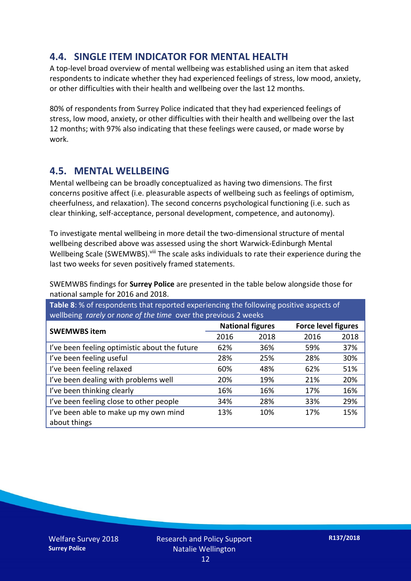#### **4.4. SINGLE ITEM INDICATOR FOR MENTAL HEALTH**

A top-level broad overview of mental wellbeing was established using an item that asked respondents to indicate whether they had experienced feelings of stress, low mood, anxiety, or other difficulties with their health and wellbeing over the last 12 months.

80% of respondents from Surrey Police indicated that they had experienced feelings of stress, low mood, anxiety, or other difficulties with their health and wellbeing over the last 12 months; with 97% also indicating that these feelings were caused, or made worse by work.

#### **4.5. MENTAL WELLBEING**

Mental wellbeing can be broadly conceptualized as having two dimensions. The first concerns positive affect (i.e. pleasurable aspects of wellbeing such as feelings of optimism, cheerfulness, and relaxation). The second concerns psychological functioning (i.e. such as clear thinking, self-acceptance, personal development, competence, and autonomy).

To investigate mental wellbeing in more detail the two-dimensional structure of mental wellbeing described above was assessed using the short Warwick-Edinburgh Mental Wellbeing Scale (SWEMWBS). viii The scale asks individuals to rate their experience during the last two weeks for seven positively framed statements.

SWEMWBS findings for **Surrey Police** are presented in the table below alongside those for national sample for 2016 and 2018.

**Table 8**: % of respondents that reported experiencing the following positive aspects of wellbeing *rarely* or *none of the time* over the previous 2 weeks

| <b>SWEMWBS item</b>                           | <b>National figures</b> |      | <b>Force level figures</b> |      |
|-----------------------------------------------|-------------------------|------|----------------------------|------|
|                                               | 2016                    | 2018 | 2016                       | 2018 |
| I've been feeling optimistic about the future | 62%                     | 36%  | 59%                        | 37%  |
| I've been feeling useful                      | 28%                     | 25%  | 28%                        | 30%  |
| I've been feeling relaxed                     | 60%                     | 48%  | 62%                        | 51%  |
| I've been dealing with problems well          | 20%                     | 19%  | 21%                        | 20%  |
| I've been thinking clearly                    | 16%                     | 16%  | 17%                        | 16%  |
| I've been feeling close to other people       | 34%                     | 28%  | 33%                        | 29%  |
| I've been able to make up my own mind         | 13%                     | 10%  | 17%                        | 15%  |
| about things                                  |                         |      |                            |      |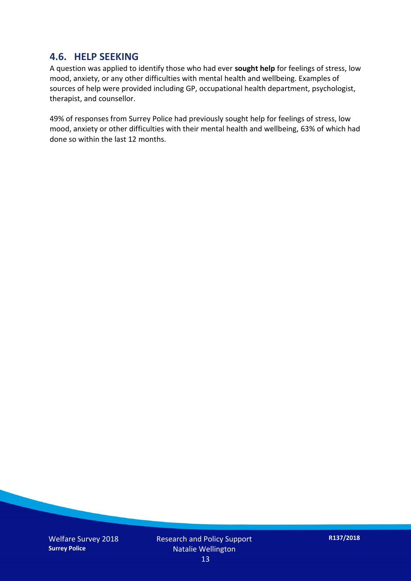#### **4.6. HELP SEEKING**

A question was applied to identify those who had ever **sought help** for feelings of stress, low mood, anxiety, or any other difficulties with mental health and wellbeing. Examples of sources of help were provided including GP, occupational health department, psychologist, therapist, and counsellor.

49% of responses from Surrey Police had previously sought help for feelings of stress, low mood, anxiety or other difficulties with their mental health and wellbeing, 63% of which had done so within the last 12 months.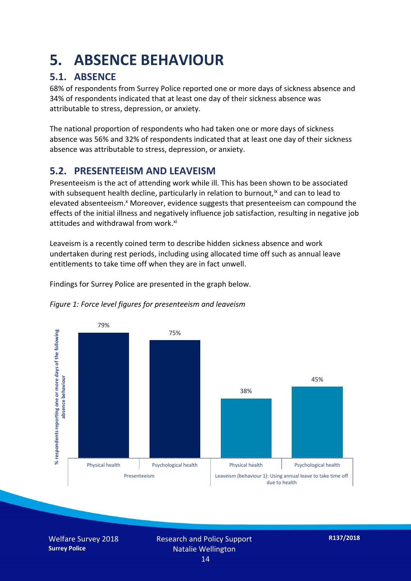### **5. ABSENCE BEHAVIOUR**

#### **5.1. ABSENCE**

68% of respondents from Surrey Police reported one or more days of sickness absence and 34% of respondents indicated that at least one day of their sickness absence was attributable to stress, depression, or anxiety.

The national proportion of respondents who had taken one or more days of sickness absence was 56% and 32% of respondents indicated that at least one day of their sickness absence was attributable to stress, depression, or anxiety.

#### **5.2. PRESENTEEISM AND LEAVEISM**

Presenteeism is the act of attending work while ill. This has been shown to be associated with subsequent health decline, particularly in relation to burnout,  $\alpha$  and can to lead to elevated absenteeism.<sup>x</sup> Moreover, evidence suggests that presenteeism can compound the effects of the initial illness and negatively influence job satisfaction, resulting in negative job attitudes and withdrawal from work.<sup>xi</sup>

Leaveism is a recently coined term to describe hidden sickness absence and work undertaken during rest periods, including using allocated time off such as annual leave entitlements to take time off when they are in fact unwell.

Findings for Surrey Police are presented in the graph below.





Welfare Survey 2018 **Surrey Police**

Research and Policy Support Natalie Wellington 14

**R137/2018**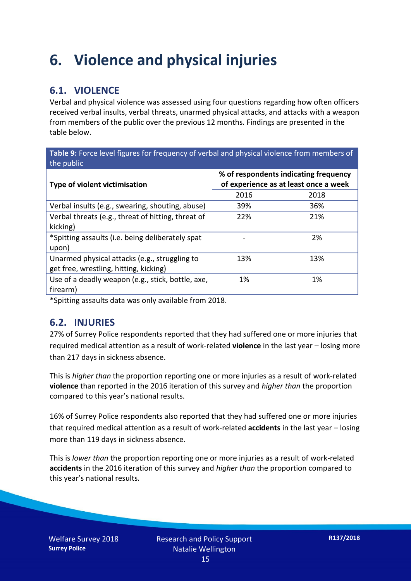### **6. Violence and physical injuries**

#### **6.1. VIOLENCE**

Verbal and physical violence was assessed using four questions regarding how often officers received verbal insults, verbal threats, unarmed physical attacks, and attacks with a weapon from members of the public over the previous 12 months. Findings are presented in the table below.

**Table 9:** Force level figures for frequency of verbal and physical violence from members of the public

| Type of violent victimisation                      | % of respondents indicating frequency<br>of experience as at least once a week |      |  |
|----------------------------------------------------|--------------------------------------------------------------------------------|------|--|
|                                                    | 2016                                                                           | 2018 |  |
| Verbal insults (e.g., swearing, shouting, abuse)   | 39%                                                                            | 36%  |  |
| Verbal threats (e.g., threat of hitting, threat of | 22%                                                                            | 21%  |  |
| kicking)                                           |                                                                                |      |  |
| *Spitting assaults (i.e. being deliberately spat   |                                                                                | 2%   |  |
| upon)                                              |                                                                                |      |  |
| Unarmed physical attacks (e.g., struggling to      | 13%                                                                            | 13%  |  |
| get free, wrestling, hitting, kicking)             |                                                                                |      |  |
| Use of a deadly weapon (e.g., stick, bottle, axe,  | 1%                                                                             | 1%   |  |
| firearm)                                           |                                                                                |      |  |

\*Spitting assaults data was only available from 2018.

#### **6.2. INJURIES**

27% of Surrey Police respondents reported that they had suffered one or more injuries that required medical attention as a result of work-related **violence** in the last year – losing more than 217 days in sickness absence.

This is *higher than* the proportion reporting one or more injuries as a result of work-related **violence** than reported in the 2016 iteration of this survey and *higher than* the proportion compared to this year's national results.

16% of Surrey Police respondents also reported that they had suffered one or more injuries that required medical attention as a result of work-related **accidents** in the last year – losing more than 119 days in sickness absence.

This is *lower than* the proportion reporting one or more injuries as a result of work-related **accidents** in the 2016 iteration of this survey and *higher than* the proportion compared to this year's national results.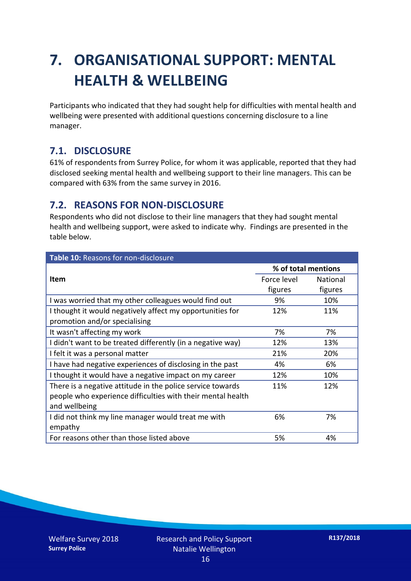## **7. ORGANISATIONAL SUPPORT: MENTAL HEALTH & WELLBEING**

Participants who indicated that they had sought help for difficulties with mental health and wellbeing were presented with additional questions concerning disclosure to a line manager.

#### **7.1. DISCLOSURE**

61% of respondents from Surrey Police, for whom it was applicable, reported that they had disclosed seeking mental health and wellbeing support to their line managers. This can be compared with 63% from the same survey in 2016.

#### **7.2. REASONS FOR NON-DISCLOSURE**

Respondents who did not disclose to their line managers that they had sought mental health and wellbeing support, were asked to indicate why. Findings are presented in the table below.

| Table 10: Reasons for non-disclosure                        |                     |          |  |
|-------------------------------------------------------------|---------------------|----------|--|
|                                                             | % of total mentions |          |  |
| <b>Item</b>                                                 | Force level         | National |  |
|                                                             | figures             | figures  |  |
| I was worried that my other colleagues would find out       | 9%                  | 10%      |  |
| I thought it would negatively affect my opportunities for   | 12%                 | 11%      |  |
| promotion and/or specialising                               |                     |          |  |
| It wasn't affecting my work                                 | 7%                  | 7%       |  |
| I didn't want to be treated differently (in a negative way) | 12%                 | 13%      |  |
| I felt it was a personal matter                             | 21%                 | 20%      |  |
| I have had negative experiences of disclosing in the past   | 4%                  | 6%       |  |
| I thought it would have a negative impact on my career      | 12%                 | 10%      |  |
| There is a negative attitude in the police service towards  | 11%                 | 12%      |  |
| people who experience difficulties with their mental health |                     |          |  |
| and wellbeing                                               |                     |          |  |
| I did not think my line manager would treat me with         | 6%                  | 7%       |  |
| empathy                                                     |                     |          |  |
| For reasons other than those listed above                   | 5%                  | 4%       |  |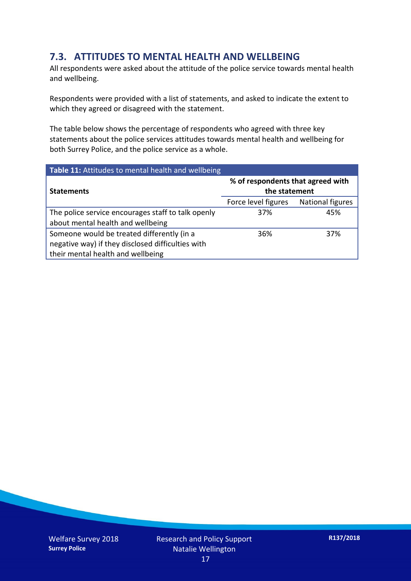#### **7.3. ATTITUDES TO MENTAL HEALTH AND WELLBEING**

All respondents were asked about the attitude of the police service towards mental health and wellbeing.

Respondents were provided with a list of statements, and asked to indicate the extent to which they agreed or disagreed with the statement.

The table below shows the percentage of respondents who agreed with three key statements about the police services attitudes towards mental health and wellbeing for both Surrey Police, and the police service as a whole.

| Table 11: Attitudes to mental health and wellbeing |                                                    |                         |  |
|----------------------------------------------------|----------------------------------------------------|-------------------------|--|
| <b>Statements</b>                                  | % of respondents that agreed with<br>the statement |                         |  |
|                                                    | Force level figures                                | <b>National figures</b> |  |
| The police service encourages staff to talk openly | 37%                                                | 45%                     |  |
| about mental health and wellbeing                  |                                                    |                         |  |
| Someone would be treated differently (in a         | 36%                                                | 37%                     |  |
| negative way) if they disclosed difficulties with  |                                                    |                         |  |
| their mental health and wellbeing                  |                                                    |                         |  |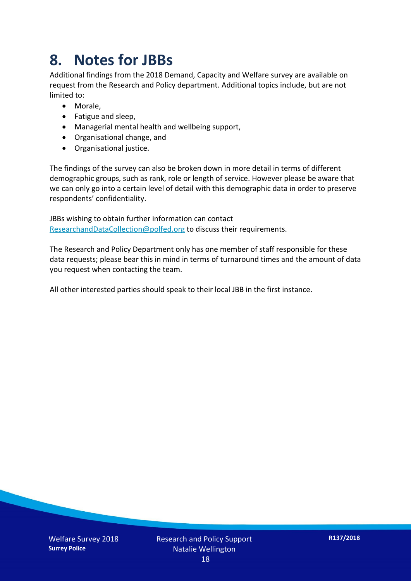### **8. Notes for JBBs**

Additional findings from the 2018 Demand, Capacity and Welfare survey are available on request from the Research and Policy department. Additional topics include, but are not limited to:

- Morale,
- Fatigue and sleep,
- Managerial mental health and wellbeing support,
- Organisational change, and
- Organisational justice.

The findings of the survey can also be broken down in more detail in terms of different demographic groups, such as rank, role or length of service. However please be aware that we can only go into a certain level of detail with this demographic data in order to preserve respondents' confidentiality.

JBBs wishing to obtain further information can contact [ResearchandDataCollection@polfed.org](mailto:ResearchandDataCollection@polfed.org) to discuss their requirements.

The Research and Policy Department only has one member of staff responsible for these data requests; please bear this in mind in terms of turnaround times and the amount of data you request when contacting the team.

All other interested parties should speak to their local JBB in the first instance.